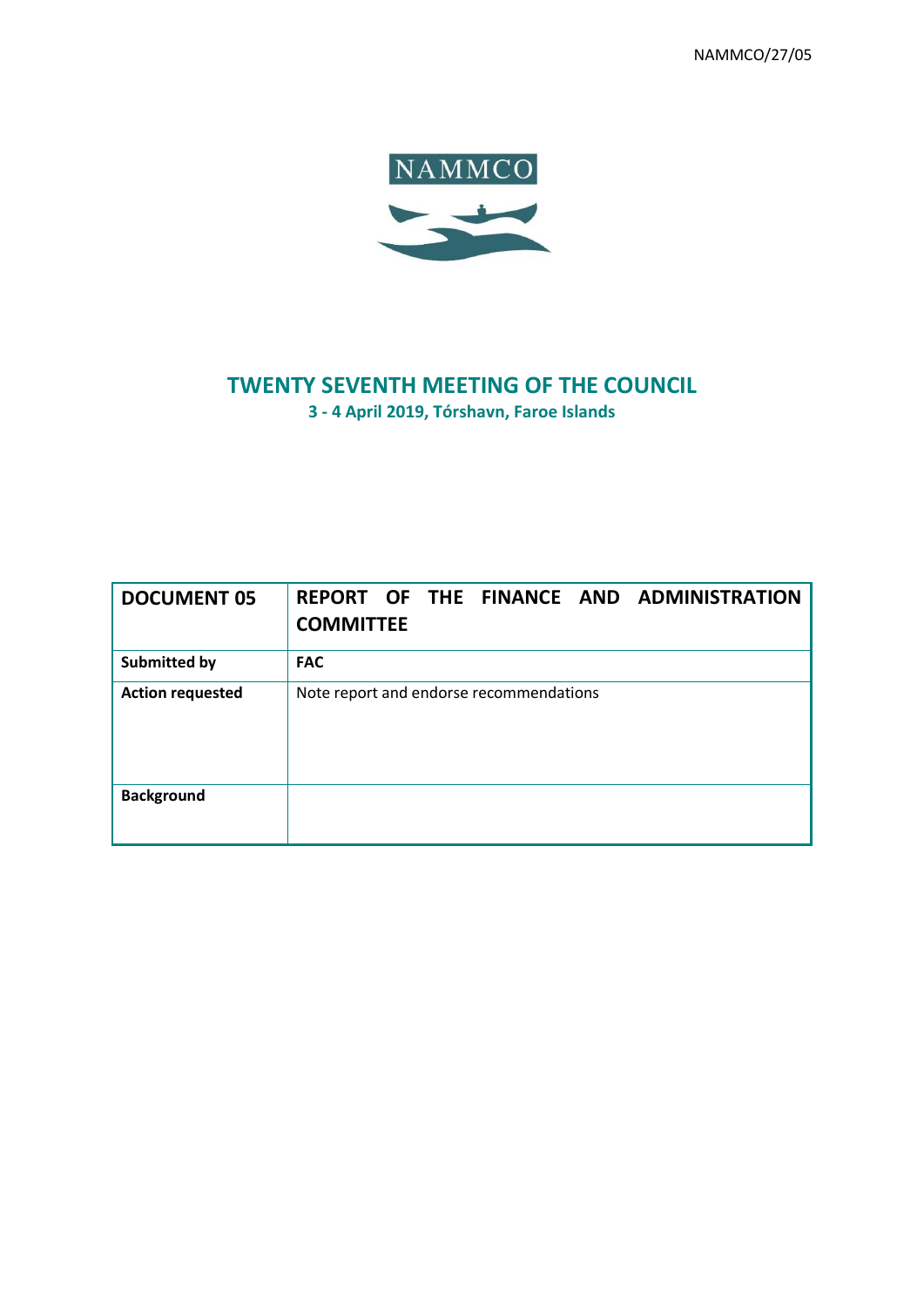NAMMCO/27/05



# **TWENTY SEVENTH MEETING OF THE COUNCIL**

**3 - 4 April 2019, Tórshavn, Faroe Islands**

| <b>DOCUMENT 05</b>      | REPORT OF THE FINANCE AND ADMINISTRATION<br><b>COMMITTEE</b> |
|-------------------------|--------------------------------------------------------------|
| <b>Submitted by</b>     | <b>FAC</b>                                                   |
| <b>Action requested</b> | Note report and endorse recommendations                      |
| <b>Background</b>       |                                                              |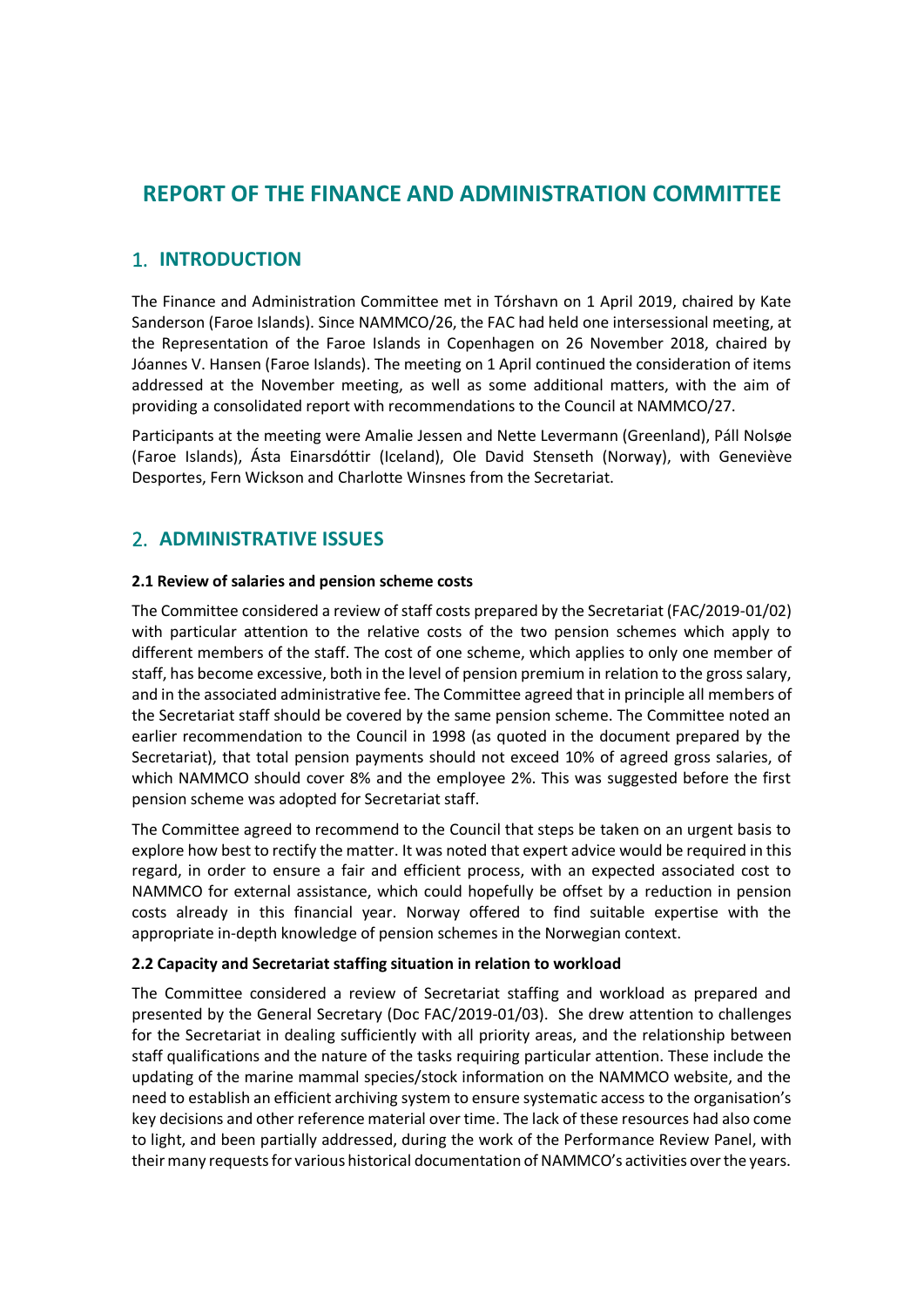## **REPORT OF THE FINANCE AND ADMINISTRATION COMMITTEE**

## 1. **INTRODUCTION**

The Finance and Administration Committee met in Tórshavn on 1 April 2019, chaired by Kate Sanderson (Faroe Islands). Since NAMMCO/26, the FAC had held one intersessional meeting, at the Representation of the Faroe Islands in Copenhagen on 26 November 2018, chaired by Jóannes V. Hansen (Faroe Islands). The meeting on 1 April continued the consideration of items addressed at the November meeting, as well as some additional matters, with the aim of providing a consolidated report with recommendations to the Council at NAMMCO/27.

Participants at the meeting were Amalie Jessen and Nette Levermann (Greenland), Páll Nolsøe (Faroe Islands), Ásta Einarsdóttir (Iceland), Ole David Stenseth (Norway), with Geneviève Desportes, Fern Wickson and Charlotte Winsnes from the Secretariat.

## 2. **ADMINISTRATIVE ISSUES**

## **2.1 Review of salaries and pension scheme costs**

The Committee considered a review of staff costs prepared by the Secretariat (FAC/2019-01/02) with particular attention to the relative costs of the two pension schemes which apply to different members of the staff. The cost of one scheme, which applies to only one member of staff, has become excessive, both in the level of pension premium in relation to the gross salary, and in the associated administrative fee. The Committee agreed that in principle all members of the Secretariat staff should be covered by the same pension scheme. The Committee noted an earlier recommendation to the Council in 1998 (as quoted in the document prepared by the Secretariat), that total pension payments should not exceed 10% of agreed gross salaries, of which NAMMCO should cover 8% and the employee 2%. This was suggested before the first pension scheme was adopted for Secretariat staff.

The Committee agreed to recommend to the Council that steps be taken on an urgent basis to explore how best to rectify the matter. It was noted that expert advice would be required in this regard, in order to ensure a fair and efficient process, with an expected associated cost to NAMMCO for external assistance, which could hopefully be offset by a reduction in pension costs already in this financial year. Norway offered to find suitable expertise with the appropriate in-depth knowledge of pension schemes in the Norwegian context.

#### **2.2 Capacity and Secretariat staffing situation in relation to workload**

The Committee considered a review of Secretariat staffing and workload as prepared and presented by the General Secretary (Doc FAC/2019-01/03). She drew attention to challenges for the Secretariat in dealing sufficiently with all priority areas, and the relationship between staff qualifications and the nature of the tasks requiring particular attention. These include the updating of the marine mammal species/stock information on the NAMMCO website, and the need to establish an efficient archiving system to ensure systematic access to the organisation's key decisions and other reference material over time. The lack of these resources had also come to light, and been partially addressed, during the work of the Performance Review Panel, with their many requests for various historical documentation of NAMMCO's activities over the years.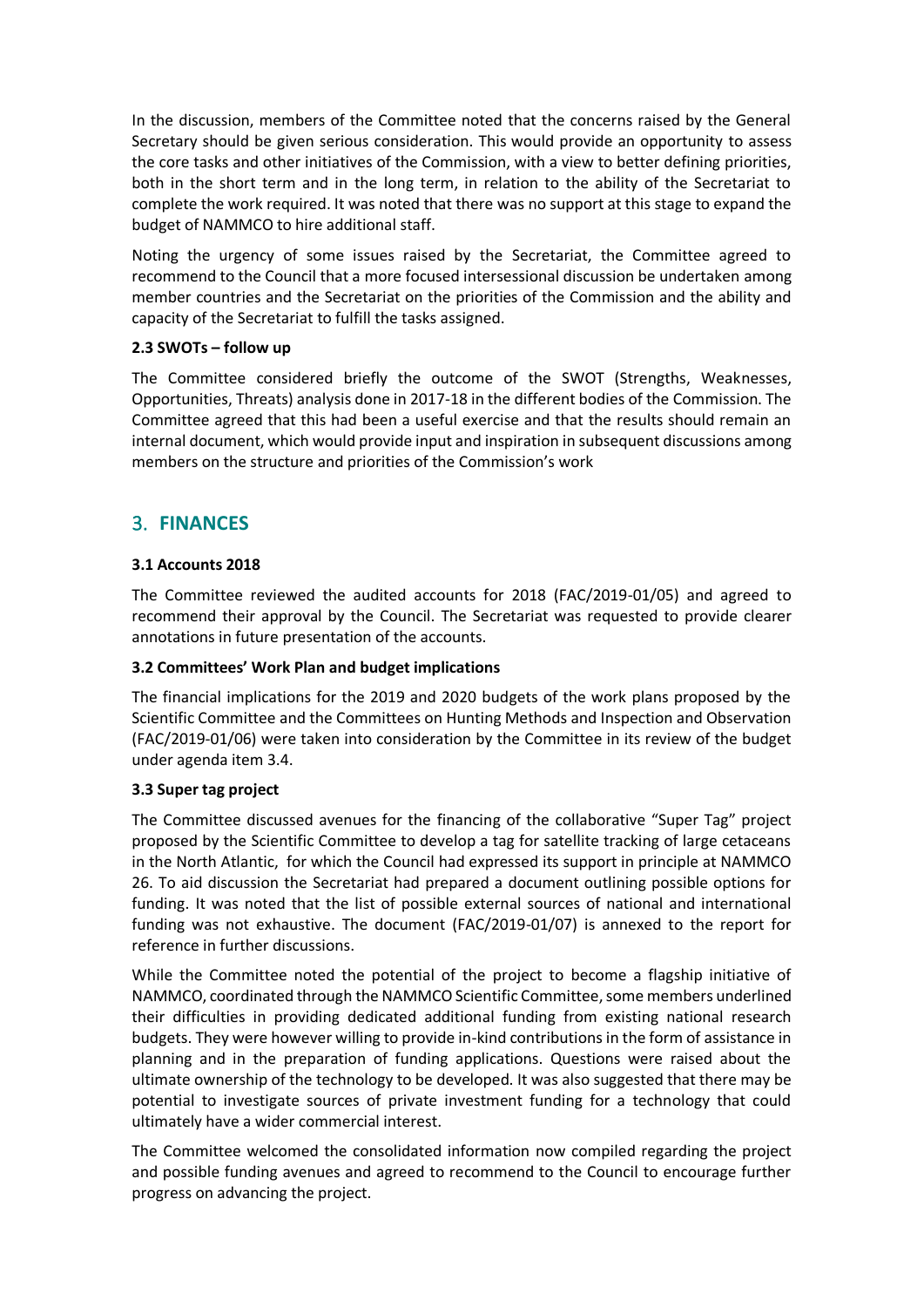In the discussion, members of the Committee noted that the concerns raised by the General Secretary should be given serious consideration. This would provide an opportunity to assess the core tasks and other initiatives of the Commission, with a view to better defining priorities, both in the short term and in the long term, in relation to the ability of the Secretariat to complete the work required. It was noted that there was no support at this stage to expand the budget of NAMMCO to hire additional staff.

Noting the urgency of some issues raised by the Secretariat, the Committee agreed to recommend to the Council that a more focused intersessional discussion be undertaken among member countries and the Secretariat on the priorities of the Commission and the ability and capacity of the Secretariat to fulfill the tasks assigned.

## **2.3 SWOTs – follow up**

The Committee considered briefly the outcome of the SWOT (Strengths, Weaknesses, Opportunities, Threats) analysis done in 2017-18 in the different bodies of the Commission. The Committee agreed that this had been a useful exercise and that the results should remain an internal document, which would provide input and inspiration in subsequent discussions among members on the structure and priorities of the Commission's work

## 3. **FINANCES**

## **3.1 Accounts 2018**

The Committee reviewed the audited accounts for 2018 (FAC/2019-01/05) and agreed to recommend their approval by the Council. The Secretariat was requested to provide clearer annotations in future presentation of the accounts.

#### **3.2 Committees' Work Plan and budget implications**

The financial implications for the 2019 and 2020 budgets of the work plans proposed by the Scientific Committee and the Committees on Hunting Methods and Inspection and Observation (FAC/2019-01/06) were taken into consideration by the Committee in its review of the budget under agenda item 3.4.

#### **3.3 Super tag project**

The Committee discussed avenues for the financing of the collaborative "Super Tag" project proposed by the Scientific Committee to develop a tag for satellite tracking of large cetaceans in the North Atlantic, for which the Council had expressed its support in principle at NAMMCO 26. To aid discussion the Secretariat had prepared a document outlining possible options for funding. It was noted that the list of possible external sources of national and international funding was not exhaustive. The document (FAC/2019-01/07) is annexed to the report for reference in further discussions.

While the Committee noted the potential of the project to become a flagship initiative of NAMMCO, coordinated through the NAMMCO Scientific Committee, some members underlined their difficulties in providing dedicated additional funding from existing national research budgets. They were however willing to provide in-kind contributions in the form of assistance in planning and in the preparation of funding applications. Questions were raised about the ultimate ownership of the technology to be developed. It was also suggested that there may be potential to investigate sources of private investment funding for a technology that could ultimately have a wider commercial interest.

The Committee welcomed the consolidated information now compiled regarding the project and possible funding avenues and agreed to recommend to the Council to encourage further progress on advancing the project.